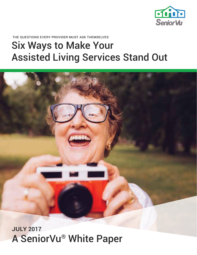

the questions every provider must ask themselves

# Six Ways to Make Your Assisted Living Services Stand Out



### **JULY 2017** A SeniorVu® White Paper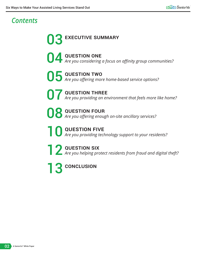### *Contents*

**03** EXECUTIVE SUMMARY 04 question one *Are you considering a focus on affinity group communities?* 05 question two *Are you offering more home-based service options?* **O7** QUESTION THREE<br>*Are you providing an environment that feels more like home?* **08 QUESTION FOUR**<br>*Are you offering enough on-site ancillary services?* **10 QUESTION FIVE**<br>*Are you providing technology support to your residents?* 

**2 QUESTION SIX**<br>*Are you helping protect residents from fraud and digital theft?* 

13 conclusion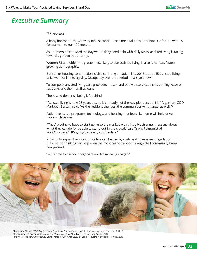### *Executive Summary*

*Tick, tick, tick…* 

A baby boomer turns 65 every nine seconds -- the time it takes to tie a shoe. Or for the world's fastest man to run 100 meters.

As boomers race toward the day where they need help with daily tasks, assisted living is racing toward a golden opportunity.

Women 85 and older, the group most likely to use assisted living, is also America's fastestgrowing demographic.

But senior housing construction is also sprinting ahead. In late 2016, about 45 assisted living units went online every day. Occupancy over that period hit a 6-year low.<sup>1</sup>

To compete, assisted living care providers must stand out with services that a coming wave of residents and their families want.

Those who don't risk being left behind.

"Assisted living is now 25 years old, so it's already not the way pioneers built it," Argentum COO Maribeth Bersani said. "As the resident changes, the communities will change, as well."<sup>2</sup>

Patient-centered programs, technology, and housing that feels like home will help drive move-in decisions.

 "They're going to have to start going to the market with a little bit stronger message about what they can do for people to stand out in the crowd," said Travis Palmquist of PointClickCare.3 "It's going to bevery competitive."

In trying to expand services, providers can be tied by costs and government regulations. But creative thinking can help even the most cash-strapped or regulated community break new ground.

So it's time to ask your organization: *Are we doing enough?* 



1 Mary Kate Nelson, *"NIC: Assisted Living Occupancy Falls to 6-year Low."* Senior Housing News.com, Jan. 9, 2017 2 Cindy Sanders, *"Sustainable Solutions for Long-Term Care."* Medical News Inc.com, April 7, 2016 3 Mary Kate Nelson, *"Three Senior Living Trends for 2017 and Beyond."* Senior Housing News.com, Nov. 16, 2016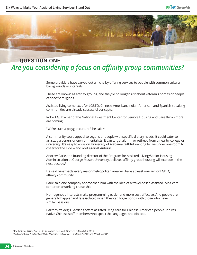

#### question one *Are you considering a focus on affinity group communities?*

Some providers have carved out a niche by offering services to people with common cultural backgrounds or interests.

These are known as affinity groups, and they're no longer just about veteran's homes or people of specific religions.

Assisted living complexes for LGBTQ, Chinese-American, Indian-American and Spanish-speaking communities are already successful concepts.

Robert G. Kramer of the National Investment Center for Seniors Housing and Care thinks more are coming.

"We're such a polyglot culture," he said.<sup>4</sup>

A community could appeal to vegans or people with specific dietary needs. It could cater to artists, gardeners or environmentalists. It can target alumni or retirees from a nearby college or university. It's easy to envision University of Alabama faithful wanting to live under one room to cheer for the Tide -- and root against Auburn.

Andrew Carle, the founding director of the Program for Assisted Living/Senior Housing Administration at George Mason University, believes affinity group housing will explode in the next decade.<sup>5</sup>

He said he expects every major metropolitan area will have at least one senior LGBTQ affinity community.

Carle said one company approached him with the idea of a travel-based assisted living care center on a working cruise ship.

Homogenous interests make programming easier and more cost-effective. And people are generally happier and less isolated when they can forge bonds with those who have similar passions.

California's Aegis Gardens offers assisted living care for Chinese-American people. It hires native Chinese staff members who speak the languages and dialects.

<sup>4</sup> Paula Span, *"A New Spin on Senior Living."* New York Times.com, March 25, 2016

<sup>5</sup> Sally Abrahms, *"Finding Your Niche Housing in Retirement -- or Before!"* AARP.org, March 7, 2011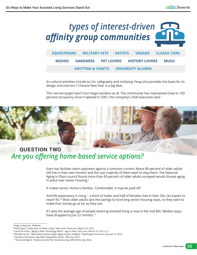

Its cultural activities include tai chi, calligraphy and mahjong. Feng-shui provides the basis for its design and interiors.<sup>6</sup> Chinese New Year is a big deal.

This narrow target hasn't hurt Aegis Gardens at all. The community has maintained close to 100 percent occupancy since it opened in 2001, the company's chief executive said.7



## *Are you offering home-based service options?*

Even top facilities swim upstream against a common current: About 80 percent of older adults still live in their own homes $^{\rm 8}$  and the vast majority of them want to stay there. The National Aging in Place council found more than 90 percent of older adults surveyed would choose aging in place over senior housing.<sup>9</sup>

It makes sense. Home is familiar. Comfortable. It may be paid-off.

And life expectancy is rising -- a third of males and half of females now in their 50s can expect to reach 90.10 Most older adults lack the savings to fund long senior housing stays, so they want to make that money go as far as they can.

It's why the average age of people entering assisted living is now in the mid 80s. Median stays have dropped to just 22 months.<sup>11</sup>

<sup>6</sup> Aegis Living.com. Website.

<sup>7</sup> Paula Span, *"A New Spin on Senior Living."* New York Times.com, March 25, 2016

<sup>8</sup> Laurie M. Orlov, *"Aging In Place Technology Watch."* Age In Place Tech.com, March 15, 2017 p. 3

<sup>9</sup> Michele Lerner, *"New online services targets aging-in-place residents."* Washington Post.com, January 19, 2016

<sup>10</sup> Society of Actuaries, Age Wise Infographic Series. SOA.org. 2016

<sup>11</sup>*"Facts and Figures,"* National Center for Assisted Living, AHCANCAL.org. Web.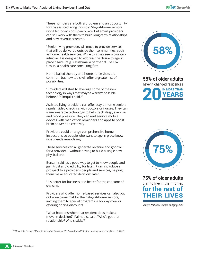These numbers are both a problem and an opportunity for the assisted living industry. Stay-at-home seniors won't fix today's occupancy rate, but smart providers can still work with them to build long-term relationships and new revenue streams.

"Senior living providers will move to provide services that will be delivered outside their communities, such as home health services. While this may seem counterintuitive, it is designed to address the desire to age in place," said Craig Fukushima, a partner at The Fox Group, a health care consulting firm.

Home-based therapy and home nurse visits are common, but new tools will offer a greater list of possibilities.

"Providers will start to leverage some of the new technology in ways that maybe weren't possible before," Palmquist said.<sup>12</sup>

Assisted living providers can offer stay-at-home seniors regular video check-ins with doctors or nurses. They can issue wearable technology to help track sleep, exercise and blood pressure. They can rent seniors mobile devices with medication reminders and apps to boost brain power and creativity.

Providers could arrange comprehensive home inspections so people who want to age in place know what needs remodeling.

These services can all generate revenue and goodwill for a provider -- without having to build a single new physical unit.

Bersani said it's a good way to get to know people and gain trust and credibility for later. It can introduce a prospect to a provider's people and services, helping them make educated decisions later.

"It's better for business and better for the consumer," she said.

Providers who offer home-based services can also put out a welcome mat for their stay-at-home seniors, inviting them to special programs, a holiday meal or offering pricing discounts.

"What happens when that resident does make a move-in decision?" Palmquist said. "Who's got that relationship? Who's sticky?"





58% of older adults haven't changed residences **20in more than years**



75% of older adults plan to live in their homes **for the rest of their lives**

*Source: National Council of Aging, 2015*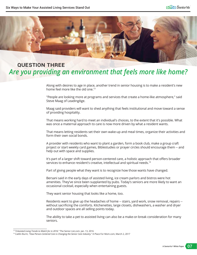

#### question three *Are you providing an environment that feels more like home?*

Along with desires to age in place, another trend in senior housing is to make a resident's new home feel more like the old one.<sup>13</sup>

"People are looking more at programs and services that create a home-like atmosphere," said Steve Maag of LeadingAge.

Maag said providers will want to shed anything that feels institutional and move toward a sense of providing hospitality.

That means working hard to meet an individual's choices, to the extent that it's possible. What was once a maternal approach to care is now more driven by what a resident wants.

That means letting residents set their own wake-up and meal times, organize their activities and form their own social bonds.

A provider with residents who want to plant a garden, form a book club, make a group craft project or start weekly card games, Biblestudies or prayer circles should encourage them -- and help out with space and supplies.

It's part of a larger shift toward person-centered care, a holistic approach that offers broader services to enhance resident's creative, intellectual and spiritual needs.<sup>14</sup>

Part of giving people what they want is to recognize how those wants have changed.

Bersani said in the early days of assisted living, ice cream parlors and bistros were hot amenities. They've since been supplanted by pubs. Today's seniors are more likely to want an occasional cocktail, especially when entertaining guests.

They want senior housing that looks like a home, too.

Residents want to give up the headaches of home -- stairs, yard work, snow removal, repairs -without sacrificing the comforts. Kitchenettes, large closets, dishwashers, a washer and dryer and outdoor spaces are all selling points today.

The ability to take a pet to assisted living can also be a make-or-break consideration for many seniors.

<sup>13</sup> *" 9 Assisted Living Trends to Watch for in 2016."* The Senior List.com. Jan. 13, 2016

<sup>14</sup> Caitlin Burm, *"How Person-Centered Care is Changing the Senior Care Industry."* A Place For Mom.com, March 2, 2017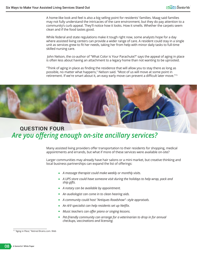A home-like look and feel is also a big selling point for residents' families. Maag said families may not fully understand the intricacies of the care environment, but they do pay attention to a community's curb appeal. They'll notice how it looks. How it smells. Whether the carpets seem clean and if the food tastes good.

While federal and state regulations make it tough right now, some analysts hope for a day where assisted living centers can provide a wider range of care. A resident could stay in a single unit as services grew to fit her needs, taking her from help with minor daily tasks to full-time skilled nursing care.

 John Nelson, the co-author of "What Color is Your Parachute?" says the appeal of aging in place is often less about having an attachment to a legacy home than not wanting to be uprooted.

"Think of aging in place as finding the residence that will allow you to stay there as long as possible, no matter what happens," Nelson said. "Most of us will move at some point in retirement. If we're smart about it, an easy early move can prevent a difficult later move."<sup>15</sup>



### question four *Are you offering enough on-site ancillary services?*

Many assisted living providers offer transportation to their residents for shopping, medical appointments and errands, but what if more of these services were available on-site?

Larger communities may already have hair salons or a mini market, but creative thinking and local business partnerships can expand the list of offerings:

- *A massage therapist could make weekly or monthly visits.*
- *A UPS store could have someone visit during the holidays to help wrap, pack and ship gifts.*
- *A notary can be available by appointment.*
- *An audiologist can come in to clean hearing aids.*
- *A community could host "Antiques Roadshow"- style appraisals.*
- *An A/V specialist can help residents set up Netflix.*
- *Music teachers can offer piano or singing lessons.*
- *Pet-friendly community can arrange for a veterinarian to drop in for annual checkups, vaccinations and licensing.*

<sup>15</sup> *"Aging in Place,"* Retired Brains.com. Web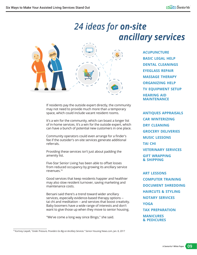### *24 ideas for on-site ancillary services*



If residents pay the outside expert directly, the community may not need to provide much more than a temporary space, which could include vacant resident rooms.

It's a win for the community, which can boast a longer list of in-home services. It's a win for the outside expert, which can have a bunch of potential new customers in one place.

Community operators could even arrange for a finder's fee if the outsider's on-site services generate additional referrals.

Providing these services isn't just about padding the amenity list.

Five-Star Senior Living has been able to offset losses from reduced occupancy by growing its ancillary service revenues.16

Good services that keep residents happier and healthier may also slow resident turnover, saving marketing and maintenance costs.

Bersani said there's a trend toward wider ancillary services, especially evidence-based therapy options - tai chi and meditation -- and services that boost creativity. Baby boomers have a wide range of interests and don't want to give those up when they move to senior housing.

"We've come a long way since Bingo," she said.

**ACUPUNCTURE BASIC LEGAL HELP DENTAL CLEANINGS EYEGLASS REPAIR MASSAGE THERAPY ORGANIZING HELP TV EQUIPMENT SETUP HEARING AID MAINTENANCE**

**ANTIQUES APPRAISALS CAR WINTERIZING DRY CLEANING GROCERY DELIVERIES MUSIC LESSONS TAI CHI VETERINARY SERVICES GIFT WRAPPING & SHIPPING**

**ART LESSONS COMPUTER TRAINING DOCUMENT SHREDDING HAIRCUTS & STYLING NOTARY SERVICES YOGA TAX PREPARATION MANICURES & PEDICURES**

16 Kortney Liepelt, *"Under Pressure, Providers Go Big on Ancillary Services."* Senior Housing News.com, Jan. 8, 2017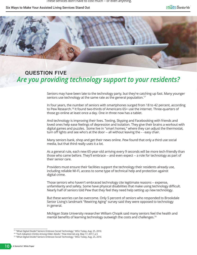Six Ways to Make Your Assisted Living Services Stand Out



#### question five *Are you providing technology support to your residents?*

Seniors may have been late to the technology party, but they're catching up fast. Many younger seniors use technology at the same rate as the general population.<sup>17</sup>

In four years, the number of seniors with smartphones surged from 18 to 42 percent, according to Pew Research.<sup>18</sup> It found two-thirds of Americans 65+ use the internet. Three-quarters of those go online at least once a day. One in three now has a tablet.

And technology is improving their lives. Texting, Skyping and Facebooking with friends and loved ones help ease feelings of depression and isolation. They give their brains a workout with digital games and puzzles. Some live in "smart homes," where they can adjust the thermostat, turn off lights and see who's at the door -- all without leaving the - - easy chair.

Many seniors bank, shop and get their news online. Pew found that only a third use social media, but that third really uses it a lot.

As a general rule, each new 65-year-old arriving every 9 seconds will be more tech-friendly than those who came before. They'll embrace -- and even expect -- a role for technology as part of their senior care.

Providers must ensure their facilities support the technology their residents already use, including reliable Wi-Fi, access to some type of technical help and protection against digital crime.

Those seniors who haven't embraced technology cite legitimate reasons -- expense, unfamiliarity and safety. Some have physical disabilities that make using technology difficult. Nearly half of seniors told Pew that they feel they need help setting up new technology.

But these worries can be overcome. Only 5 percent of seniors who responded to Brookdale Senior Living's landmark "Rewiring Aging" survey said they were opposed to technology in general.

Michigan State University researcher William Chopik said many seniors feel the health and mental benefits of learning technology outweigh the costs and challenges.<sup>19</sup>

<sup>17 &</sup>quot;What Digital Divide? Seniors Embrace Social Technology," MSU Today, Aug. 25, 2016

<sup>18 &</sup>quot;Tech Adoption Climbs Among Older Adults." Pew Internet.org. May 17, 2017, p.5

<sup>19 &</sup>quot;What Digital Divide? Seniors Embrace Social Technology." MSU Today, Aug. 25, 2016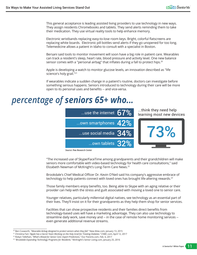This general acceptance is leading assisted living providers to use technology in new ways. They assign residents Chromebooks and tablets. They send alerts reminding them to take their medication. They use virtual reality tools to help enhance memory.

Electronic wristbands replacing easy-to-lose room keys. Bright, colorful flatscreens are replacing white boards. Electronic pill bottles send alerts if they go unopened for too long. Telemedicine allows a patient in Idaho to consult with a specialist in Boston.

Bersani said tools to monitor movement will soon have a big role in patient care. Wearables can track a resident's sleep, heart rate, blood pressure and activity level. One new balance sensor comes with a "personal airbag" that inflates during a fall to protect hips.<sup>20</sup>

Apple is developing a watch to monitor glucose levels, an innovation described as "life science's holy grail."<sup>21</sup>

If wearables indicate a sudden change in a patient's routine, doctors can investigate before something serious happens. Seniors introduced to technology during their care will be more open to its personal uses and benefits -- and vice-versa.

### *percentage of seniors 65+ who...*



*Source: Pew Research Center*

"The increased use of Skype/FaceTime among grandparents and their grandchildren will make seniors more comfortable with video-based technology for health care consultations," said Elizabeth Newman of McKnight's Long-Term Care News.<sup>22</sup>

Brookdale's Chief Medical Officer Dr. Kevin O'Neil said his company's aggressive embrace of technology to help patients connect with loved ones has brought life-altering rewards.<sup>23</sup>

Those family members enjoy benefits, too. Being able to Skype with an aging relative or their provider can help with the stress and guilt associated with moving a loved one to senior care.

Younger relatives, particularly millennial digital natives, see technology as an essential part of their lives. They'll insist on it for their grandparents as they help them shop for senior services.

Facilities that can show prospective residents and their families direct benefits from technology-based uses will have a marketing advantage. They can also use technology to streamline daily work, save money and -- in the case of remote home monitoring services - even generate additional revenue streams.

<sup>20</sup> Ben Coxworth, *"Wearable Airbag designed to protect seniors when they fall."* New Atlas.com, January 13, 2015

<sup>21</sup> Christina Farr,*"Apple has a Secret Team Working on the Holy Grail for Treating Diabetes."* CNBC.com, April 12, 2017

<sup>22</sup> Robyn Tellefsen, *"What's Ahead for Senior Care: Expert Predictions."* Our Parents.com, Feb. 6, 2017

<sup>23</sup> *"Brookdale Expanding Technology Programs for Residents."* McKnight's Senior Living.com, January 25, 2016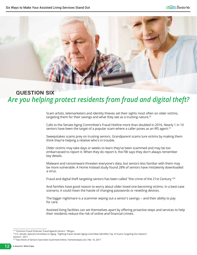

### question six *Are you helping protect residents from fraud and digital theft?*

Scam artists, telemarketers and identity thieves set their sights most often on older victims, targeting them for their savings and what they see as a trusting nature. $24$ 

Calls to the Senate Aging Committee's Fraud Hotline more than doubled in 2016. Nearly 1 in 10 seniors have been the target of a popular scam where a caller poses as an IRS agent.<sup>25</sup>

Sweepstakes scams prey on trusting seniors. Grandparent scams lure victims by making them think they're helping a relative who's in trouble.

Older victims may take days or weeks to learn they've been scammed and may be too embarrassed to report it. When they do report it, the FBI says they don't always remember key details.

Malware and ransomware threaten everyone's data, but seniors less familiar with them may be more vulnerable. A Home Instead study found 28% of seniors have mistakenly downloaded a virus.

Fraud and digital theft targeting seniors has been called "the crime of the 21st Century."<sup>26</sup>

And families have good reason to worry about older loved one becoming victims. In a best-case scenario, it could mean the hassle of changing passwords or resetting devices.

The bigger nightmare is a scammer wiping out a senior's savings -- and their ability to pay for care.

Assisted living facilities can set themselves apart by offering proactive steps and services to help their residents reduce the risk of online and financial crimes.

<sup>&</sup>lt;sup>24</sup> "Common Fraud Schemes: Fraud Against Seniors." FBI.gov

<sup>25</sup>U.S. Senate. Special Committee on Aging. "Fighting Fraud: Senate Aging Committee Identifies Top 10 Scams Targeting Our Nation's Seniors". 2017

<sup>26</sup>"Two-thirds of Seniors have been Scammed Online. HomeInstead.com, Feb. 16, 2017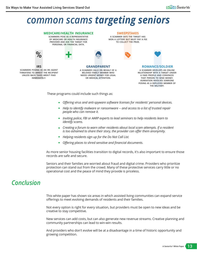### *common scams targeting seniors*



- *Offering virus and anti-spyware software licenses for residents' personal devices.*
- *Help to identify malware or ransomware -- and access to a list of trusted repair people who can remove it.*
- *Inviting police, FBI or AARP experts to lead seminars to help residents learn to identify scams.*
- *Creating a forum to warn other residents about local scam attempts. If a resident is too ashamed to share their story, the provider can offer them anonymity.*
- *Helping residents sign up for the Do Not Call List.*
- *Offering places to shred sensitive and financial documents.*

As more senior housing facilities transition to digital records, it's also important to ensure those records are safe and secure.

Seniors and their families are worried about fraud and digital crime. Providers who prioritize protection can stand out from the crowd. Many of these protective services carry little or no operational cost and the peace of mind they provide is priceless.

### *Conclusion*

This white paper has shown six areas in which assisted living communities can expand service offerings to meet evolving demands of residents and their families.

Not every option is right for every situation, but providers must be open to new ideas and be creative to stay competitive.

New services can add costs, but can also generate new revenue streams. Creative planning and community partnerships can lead to win-win results.

And providers who don't evolve will be at a disadvantage in a time of historic opportunity and growing competition.